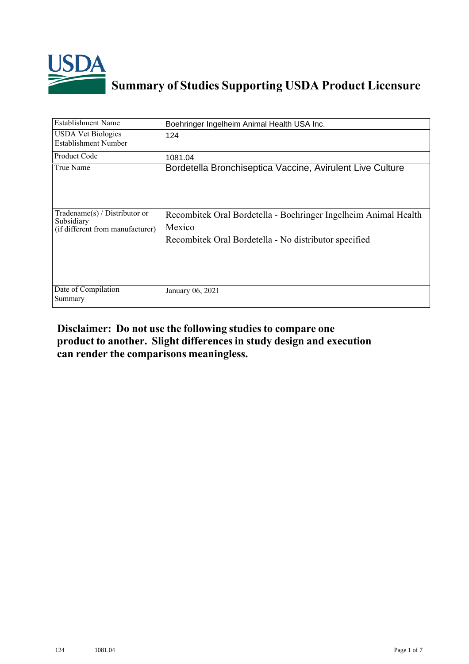

## **Summary of Studies Supporting USDA Product Licensure**

| <b>Establishment Name</b>                                                       | Boehringer Ingelheim Animal Health USA Inc.                                                                                        |
|---------------------------------------------------------------------------------|------------------------------------------------------------------------------------------------------------------------------------|
| <b>USDA Vet Biologics</b><br>Establishment Number                               | 124                                                                                                                                |
| Product Code                                                                    | 1081.04                                                                                                                            |
| True Name                                                                       | Bordetella Bronchiseptica Vaccine, Avirulent Live Culture                                                                          |
| Tradename(s) / Distributor or<br>Subsidiary<br>(if different from manufacturer) | Recombitek Oral Bordetella - Boehringer Ingelheim Animal Health<br>Mexico<br>Recombitek Oral Bordetella - No distributor specified |
| Date of Compilation<br>Summary                                                  | January 06, 2021                                                                                                                   |

## **Disclaimer: Do not use the following studiesto compare one product to another. Slight differencesin study design and execution can render the comparisons meaningless.**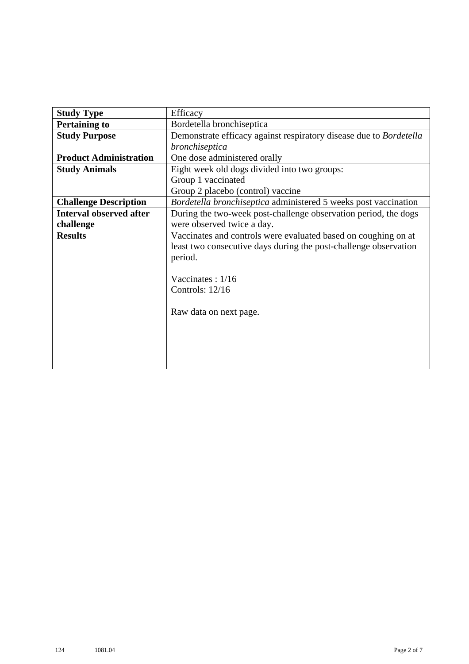| <b>Study Type</b>              | Efficacy                                                           |  |  |  |  |  |  |
|--------------------------------|--------------------------------------------------------------------|--|--|--|--|--|--|
| <b>Pertaining to</b>           | Bordetella bronchiseptica                                          |  |  |  |  |  |  |
| <b>Study Purpose</b>           | Demonstrate efficacy against respiratory disease due to Bordetella |  |  |  |  |  |  |
|                                | bronchiseptica                                                     |  |  |  |  |  |  |
| <b>Product Administration</b>  | One dose administered orally                                       |  |  |  |  |  |  |
| <b>Study Animals</b>           | Eight week old dogs divided into two groups:                       |  |  |  |  |  |  |
|                                | Group 1 vaccinated                                                 |  |  |  |  |  |  |
|                                | Group 2 placebo (control) vaccine                                  |  |  |  |  |  |  |
| <b>Challenge Description</b>   | Bordetella bronchiseptica administered 5 weeks post vaccination    |  |  |  |  |  |  |
| <b>Interval observed after</b> | During the two-week post-challenge observation period, the dogs    |  |  |  |  |  |  |
| challenge                      | were observed twice a day.                                         |  |  |  |  |  |  |
| <b>Results</b>                 | Vaccinates and controls were evaluated based on coughing on at     |  |  |  |  |  |  |
|                                | least two consecutive days during the post-challenge observation   |  |  |  |  |  |  |
|                                | period.                                                            |  |  |  |  |  |  |
|                                |                                                                    |  |  |  |  |  |  |
|                                | Vaccinates: 1/16                                                   |  |  |  |  |  |  |
|                                | Controls: $12/16$                                                  |  |  |  |  |  |  |
|                                |                                                                    |  |  |  |  |  |  |
|                                | Raw data on next page.                                             |  |  |  |  |  |  |
|                                |                                                                    |  |  |  |  |  |  |
|                                |                                                                    |  |  |  |  |  |  |
|                                |                                                                    |  |  |  |  |  |  |
|                                |                                                                    |  |  |  |  |  |  |
|                                |                                                                    |  |  |  |  |  |  |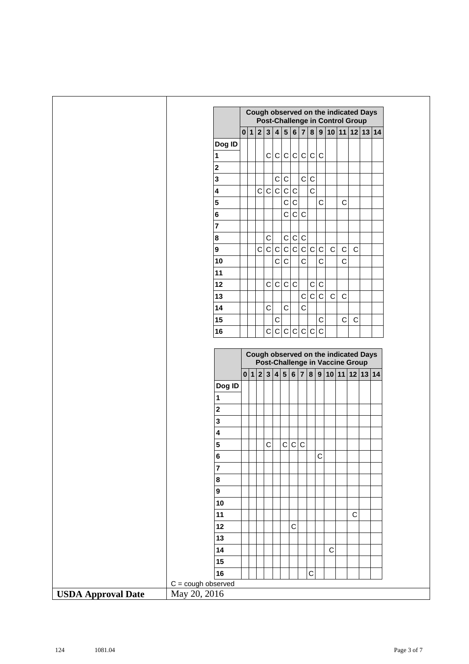|                           |                                             |                                                                         | Cough observed on the indicated Days<br><b>Post-Challenge in Control Group</b> |             |              |                 |              |              |              |             |              |              |              |             |                                    |  |
|---------------------------|---------------------------------------------|-------------------------------------------------------------------------|--------------------------------------------------------------------------------|-------------|--------------|-----------------|--------------|--------------|--------------|-------------|--------------|--------------|--------------|-------------|------------------------------------|--|
|                           |                                             |                                                                         |                                                                                |             |              |                 |              |              |              |             |              |              |              |             | 0 1 2 3 4 5 6 7 8 9 10 11 12 13 14 |  |
|                           | Dog ID                                      |                                                                         |                                                                                |             |              |                 |              |              |              |             |              |              |              |             |                                    |  |
|                           | 1                                           |                                                                         |                                                                                |             |              | c c c c c c c c |              |              |              |             |              |              |              |             |                                    |  |
|                           | $\overline{\mathbf{2}}$                     |                                                                         |                                                                                |             |              |                 |              |              |              |             |              |              |              |             |                                    |  |
|                           | $\mathbf{3}$                                |                                                                         |                                                                                |             |              | $\mathbf C$     | $\mathsf C$  |              | $\mathsf{C}$ | $\mathsf C$ |              |              |              |             |                                    |  |
|                           | $\overline{\mathbf{4}}$                     |                                                                         |                                                                                | c c c       |              |                 | $\mathbf C$  | $\mathsf C$  |              | $\mathsf C$ |              |              |              |             |                                    |  |
|                           | $\overline{\mathbf{5}}$                     |                                                                         |                                                                                |             |              |                 | $\mathsf{C}$ | $\mathsf C$  |              |             | $\mathsf C$  |              | $\mathsf C$  |             |                                    |  |
|                           | $\bf 6$                                     |                                                                         |                                                                                |             |              |                 | $\mathbf C$  | $\mathsf{C}$ | $\mathsf C$  |             |              |              |              |             |                                    |  |
|                           | $\overline{7}$                              |                                                                         |                                                                                |             |              |                 |              |              |              |             |              |              |              |             |                                    |  |
|                           | 8                                           |                                                                         |                                                                                |             | $\mathsf C$  |                 | $\mathsf C$  | $\mathbf C$  | $\mathsf C$  |             |              |              |              |             |                                    |  |
|                           | $\overline{9}$                              |                                                                         |                                                                                | $\mathsf C$ | $\mathbf C$  | $\mathbf C$     | c c          |              | c c          |             | $\mathbf{C}$ | $\mathbf C$  | $\mathsf C$  | $\mathbf C$ |                                    |  |
|                           | 10                                          |                                                                         |                                                                                |             |              | $\mathsf C$     | $\mathsf{C}$ |              | $\mathsf C$  |             | $\mathsf C$  |              | $\mathsf{C}$ |             |                                    |  |
|                           | 11                                          |                                                                         |                                                                                |             |              |                 |              |              |              |             |              |              |              |             |                                    |  |
|                           | 12                                          |                                                                         |                                                                                |             | $\mathsf C$  | ${\bf C}$       | $\mathsf C$  | $\mathsf C$  |              | $\mathsf C$ | $\mathbf C$  |              |              |             |                                    |  |
|                           | 13                                          |                                                                         |                                                                                |             |              |                 |              |              | $\mathsf{C}$ | $\mathbf C$ | $\mathbf C$  | $\mathsf{C}$ | $\mathsf{C}$ |             |                                    |  |
|                           | 14                                          |                                                                         |                                                                                |             | $\mathsf{C}$ |                 | $\mathsf{C}$ |              | $\mathsf{C}$ |             |              |              |              |             |                                    |  |
|                           | 15                                          |                                                                         |                                                                                |             |              | $\mathsf C$     |              |              |              |             | $\mathsf C$  |              | $\mathsf C$  | $\mathsf C$ |                                    |  |
|                           | 16                                          |                                                                         |                                                                                |             |              | c c c c c c c   |              |              |              |             |              |              |              |             |                                    |  |
|                           |                                             | Cough observed on the indicated Days<br>Post-Challenge in Vaccine Group |                                                                                |             |              |                 |              |              |              |             |              |              |              |             |                                    |  |
|                           |                                             |                                                                         |                                                                                |             |              |                 |              |              |              |             |              |              |              |             |                                    |  |
|                           |                                             |                                                                         |                                                                                |             |              |                 |              |              |              |             |              |              |              |             | 0 1 2 3 4 5 6 7 8 9 10 11 12 13 14 |  |
|                           | Dog ID                                      |                                                                         |                                                                                |             |              |                 |              |              |              |             |              |              |              |             |                                    |  |
|                           | 1                                           |                                                                         |                                                                                |             |              |                 |              |              |              |             |              |              |              |             |                                    |  |
|                           | $\overline{\mathbf{2}}$                     |                                                                         |                                                                                |             |              |                 |              |              |              |             |              |              |              |             |                                    |  |
|                           | $\overline{\mathbf{3}}$                     |                                                                         |                                                                                |             |              |                 |              |              |              |             |              |              |              |             |                                    |  |
|                           | $\overline{\mathbf{4}}$                     |                                                                         |                                                                                |             |              |                 |              |              |              |             |              |              |              |             |                                    |  |
|                           | $\overline{5}$                              |                                                                         |                                                                                |             | $\mathsf{C}$ |                 |              | c c c        |              |             |              |              |              |             |                                    |  |
|                           | $6\phantom{a}$                              |                                                                         |                                                                                |             |              |                 |              |              |              |             | $\mathsf{C}$ |              |              |             |                                    |  |
|                           | $\overline{\mathbf{r}}$<br>8                |                                                                         |                                                                                |             |              |                 |              |              |              |             |              |              |              |             |                                    |  |
|                           | 9                                           |                                                                         |                                                                                |             |              |                 |              |              |              |             |              |              |              |             |                                    |  |
|                           | 10                                          |                                                                         |                                                                                |             |              |                 |              |              |              |             |              |              |              |             |                                    |  |
|                           | 11                                          |                                                                         |                                                                                |             |              |                 |              |              |              |             |              |              |              | $\mathsf C$ |                                    |  |
|                           | 12                                          |                                                                         |                                                                                |             |              |                 |              | $\mathsf{C}$ |              |             |              |              |              |             |                                    |  |
|                           | 13                                          |                                                                         |                                                                                |             |              |                 |              |              |              |             |              |              |              |             |                                    |  |
|                           | 14                                          |                                                                         |                                                                                |             |              |                 |              |              |              |             |              | $\mathsf C$  |              |             |                                    |  |
|                           | 15                                          |                                                                         |                                                                                |             |              |                 |              |              |              |             |              |              |              |             |                                    |  |
|                           | 16                                          |                                                                         |                                                                                |             |              |                 |              |              |              | C           |              |              |              |             |                                    |  |
| <b>USDA Approval Date</b> | $C = \text{cough observed}$<br>May 20, 2016 |                                                                         |                                                                                |             |              |                 |              |              |              |             |              |              |              |             |                                    |  |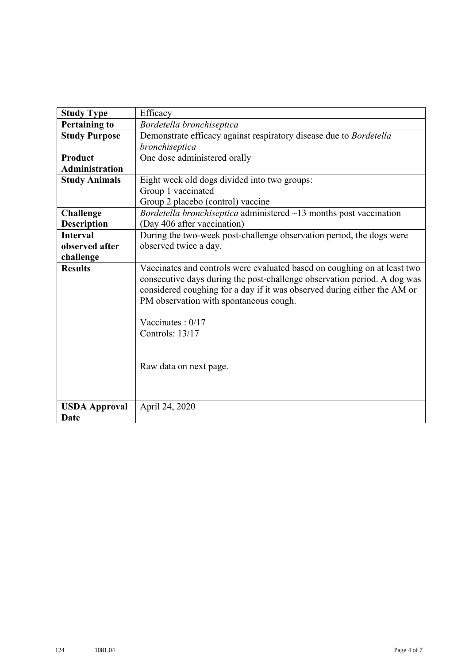| <b>Study Type</b>            | Efficacy                                                                                                                                                                                                                                                                                                                                       |
|------------------------------|------------------------------------------------------------------------------------------------------------------------------------------------------------------------------------------------------------------------------------------------------------------------------------------------------------------------------------------------|
| <b>Pertaining to</b>         | Bordetella bronchiseptica                                                                                                                                                                                                                                                                                                                      |
| <b>Study Purpose</b>         | Demonstrate efficacy against respiratory disease due to Bordetella                                                                                                                                                                                                                                                                             |
|                              | bronchiseptica                                                                                                                                                                                                                                                                                                                                 |
| Product                      | One dose administered orally                                                                                                                                                                                                                                                                                                                   |
| <b>Administration</b>        |                                                                                                                                                                                                                                                                                                                                                |
| <b>Study Animals</b>         | Eight week old dogs divided into two groups:                                                                                                                                                                                                                                                                                                   |
|                              | Group 1 vaccinated                                                                                                                                                                                                                                                                                                                             |
|                              | Group 2 placebo (control) vaccine                                                                                                                                                                                                                                                                                                              |
| <b>Challenge</b>             | Bordetella bronchiseptica administered $\sim$ 13 months post vaccination                                                                                                                                                                                                                                                                       |
| <b>Description</b>           | (Day 406 after vaccination)                                                                                                                                                                                                                                                                                                                    |
| <b>Interval</b>              | During the two-week post-challenge observation period, the dogs were                                                                                                                                                                                                                                                                           |
| observed after               | observed twice a day.                                                                                                                                                                                                                                                                                                                          |
| challenge                    |                                                                                                                                                                                                                                                                                                                                                |
| <b>Results</b>               | Vaccinates and controls were evaluated based on coughing on at least two<br>consecutive days during the post-challenge observation period. A dog was<br>considered coughing for a day if it was observed during either the AM or<br>PM observation with spontaneous cough.<br>Vaccinates : $0/17$<br>Controls: 13/17<br>Raw data on next page. |
| <b>USDA Approval</b><br>Date | April 24, 2020                                                                                                                                                                                                                                                                                                                                 |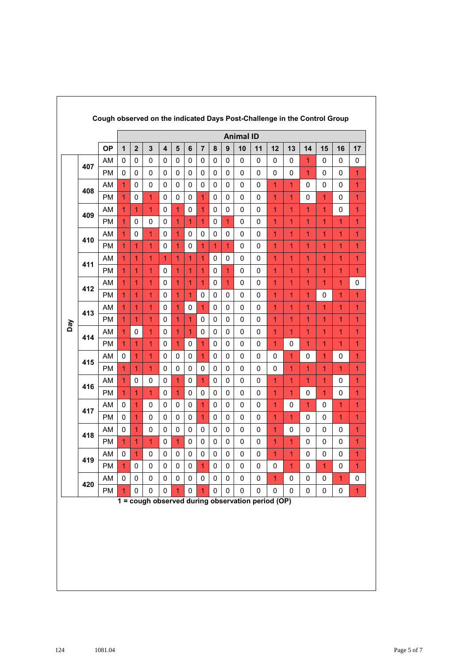|     |     |           | Cough observed on the indicated Days Post-Challenge in the Control Group<br><b>Animal ID</b> |                |                |                         |                |                |                |                |                |             |             |                                                   |                         |                |              |                |                |
|-----|-----|-----------|----------------------------------------------------------------------------------------------|----------------|----------------|-------------------------|----------------|----------------|----------------|----------------|----------------|-------------|-------------|---------------------------------------------------|-------------------------|----------------|--------------|----------------|----------------|
|     |     | <b>OP</b> | 1                                                                                            | $\mathbf{2}$   | 3              | $\overline{\mathbf{4}}$ | 5              | $6\phantom{1}$ | $\overline{7}$ | 8              | 9              | 10          | 11          | 12                                                | 13                      | 14             | 15           | 16             | 17             |
|     |     | AM        | 0                                                                                            | $\mathbf 0$    | $\mathbf 0$    | 0                       | 0              | 0              | $\mathbf 0$    | $\mathbf 0$    | $\mathbf 0$    | $\mathbf 0$ | $\mathbf 0$ | 0                                                 | 0                       | 1              | 0            | 0              | 0              |
|     | 407 | <b>PM</b> | 0                                                                                            | 0              | 0              | 0                       | 0              | 0              | 0              | 0              | 0              | 0           | 0           | 0                                                 | 0                       | 1              | 0            | 0              | 1              |
|     |     | AM        | $\mathbf{1}$                                                                                 | $\mathbf 0$    | $\mathbf 0$    | 0                       | 0              | 0              | $\mathbf 0$    | $\mathbf 0$    | 0              | 0           | $\mathbf 0$ | $\mathbf{1}$                                      | $\overline{1}$          | $\mathbf 0$    | $\pmb{0}$    | 0              | 1              |
|     | 408 | PM        | $\mathbf{1}$                                                                                 | 0              | $\mathbf{1}$   | 0                       | 0              | 0              | $\overline{1}$ | 0              | 0              | 0           | $\pmb{0}$   | 1                                                 | $\overline{1}$          | 0              | 1            | 0              | $\overline{1}$ |
|     |     | AM        | $\overline{1}$                                                                               | $\overline{1}$ | $\overline{1}$ | 0                       | $\mathbf{1}$   | 0              | $\overline{1}$ | 0              | 0              | $\mathbf 0$ | 0           | 1                                                 | 1                       | 1              | 1            | 0              | $\mathbf{1}$   |
|     | 409 | <b>PM</b> | $\mathbf{1}$                                                                                 | $\mathbf 0$    | $\mathbf 0$    | 0                       | $\mathbf{1}$   | $\overline{1}$ | $\overline{1}$ | 0              | $\overline{1}$ | $\mathbf 0$ | 0           | 1                                                 | $\overline{1}$          | 1              | 1            | 1              | 1              |
|     |     | AM        | $\mathbf{1}$                                                                                 | $\mathbf 0$    | $\overline{1}$ | 0                       | 1              | 0              | $\mathbf 0$    | 0              | 0              | 0           | 0           | 1                                                 | 1                       | 1              | 1            | 1              | 1              |
|     | 410 | <b>PM</b> | $\overline{1}$                                                                               | $\overline{1}$ | $\overline{1}$ | 0                       | $\overline{1}$ | 0              | $\overline{1}$ | $\overline{1}$ | $\overline{1}$ | $\mathbf 0$ | $\mathbf 0$ | $\mathbf{1}$                                      | $\overline{1}$          | $\overline{1}$ | 1            | $\overline{1}$ | $\mathbf{1}$   |
|     | 411 | AM        | $\mathbf{1}$                                                                                 | 1              | 1              | 1                       | 1              | $\mathbf{1}$   | 1              | 0              | 0              | 0           | 0           | 1                                                 | 1                       | 1              | 1            | 1              | 1              |
|     |     | <b>PM</b> | $\overline{1}$                                                                               | $\mathbf{1}$   | 1              | 0                       | 1              | $\overline{1}$ | $\overline{1}$ | 0              | $\overline{1}$ | 0           | 0           | $\mathbf{1}$                                      | $\overline{1}$          | 1              | 1            | 1              | $\overline{1}$ |
|     | 412 | AM        | 1                                                                                            | 1              | 1              | 0                       | 1              | $\overline{1}$ | $\mathbf{1}$   | 0              | $\mathbf{1}$   | 0           | 0           | 1                                                 | 1                       | 1              | 1            | 1              | $\mathbf 0$    |
|     |     | <b>PM</b> | $\mathbf{1}$                                                                                 | 1              | 1              | 0                       | 1              | 1              | 0              | 0              | 0              | $\mathbf 0$ | 0           | 1                                                 | 1                       | 1              | 0            | 1              | 1              |
|     | 413 | AM        | $\mathbf{1}$                                                                                 | 1              | 1              | 0                       | 1              | 0              | $\overline{1}$ | 0              | $\mathbf 0$    | $\mathbf 0$ | 0           | 1                                                 | $\overline{1}$          | 1              | 1            | 1              | 1              |
| Day |     | <b>PM</b> | $\mathbf{1}$                                                                                 | 1              | 1              | 0                       | 1              | $\overline{1}$ | 0              | 0              | 0              | 0           | 0           | 1                                                 | $\overline{1}$          | 1              | 1            | 1              | 1              |
|     | 414 | AM        | $\mathbf{1}$                                                                                 | $\mathbf 0$    | $\overline{1}$ | 0                       | 1              | $\overline{1}$ | 0              | 0              | $\mathbf 0$    | $\mathbf 0$ | $\mathbf 0$ | $\mathbf{1}$                                      | $\overline{1}$          | 1              | 1            | 1              | 1              |
|     |     | PM        | $\mathbf{1}$                                                                                 | $\mathbf{1}$   | 1              | 0                       | $\overline{1}$ | 0              | $\overline{1}$ | 0              | 0              | 0           | 0           | $\overline{1}$                                    | 0                       | $\mathbf{1}$   | 1            | $\overline{1}$ | $\mathbf{1}$   |
|     | 415 | AM        | 0                                                                                            | 1              | 1              | 0                       | 0              | 0              | $\overline{1}$ | 0              | 0              | $\mathbf 0$ | $\pmb{0}$   | $\mathbf 0$                                       | $\overline{\mathbf{1}}$ | 0              | 1            | 0              | 1              |
|     |     | PM        | $\mathbf{1}$                                                                                 | 1              | 1              | 0                       | 0              | 0              | 0              | 0              | $\mathbf 0$    | $\mathbf 0$ | 0           | 0                                                 | 1                       | 1              | 1            | 1              | 1              |
|     | 416 | AM        | $\mathbf{1}$                                                                                 | 0              | 0              | 0                       | $\mathbf{1}$   | 0              | 1              | 0              | 0              | 0           | 0           | 1                                                 | 1                       | 1              | 1            | 0              | 1              |
|     |     | <b>PM</b> | $\overline{1}$                                                                               | $\overline{1}$ | $\mathbf{1}$   | 0                       | $\overline{1}$ | 0              | 0              | 0              | $\mathbf 0$    | $\mathbf 0$ | $\mathbf 0$ | $\overline{1}$                                    | $\overline{1}$          | 0              | 1            | 0              | $\mathbf{1}$   |
|     | 417 | AM        | 0                                                                                            | 1              | 0              | 0                       | 0              | 0              | $\overline{1}$ | 0              | 0              | 0           | 0           | 1                                                 | 0                       | 1              | 0            | 1              | 1              |
|     |     | <b>PM</b> | 0                                                                                            | $\overline{1}$ | $\mathbf 0$    | 0                       | 0              | 0              | $\overline{1}$ | 0              | 0              | $\mathbf 0$ | 0           | $\mathbf{1}$                                      | $\overline{1}$          | $\mathbf 0$    | 0            | 1              | $\mathbf{1}$   |
|     | 418 | AM        | 0                                                                                            | 1              | 0              | 0                       | 0              | 0              | 0              | 0              | 0              | 0           | 0           | 1                                                 | 0                       | 0              | 0            | 0              | 1              |
|     |     | <b>PM</b> | 1                                                                                            | 1              | 1              | 0                       | 1              | 0              | 0              | 0              | 0              | 0           | 0           | 1                                                 | 1                       | 0              | 0            | 0              | $\overline{1}$ |
|     | 419 | AM        | 0                                                                                            | 1              | 0              | 0                       | $\pmb{0}$      | 0              | 0              | 0              | 0              | 0           | $\pmb{0}$   | 1                                                 | 1                       | $\pmb{0}$      | 0            | 0              | 1              |
|     |     | <b>PM</b> | $\mathbf{1}$                                                                                 | 0              | $\pmb{0}$      | 0                       | 0              | 0              | $\mathbf{1}$   | 0              | 0              | $\pmb{0}$   | $\pmb{0}$   | $\pmb{0}$                                         | $\mathbf{1}$            | $\pmb{0}$      | $\mathbf{1}$ | 0              | $\mathbf{1}$   |
|     | 420 | AM        | $\pmb{0}$                                                                                    | 0              | 0              | 0                       | 0              | 0              | 0              | 0              | 0              | $\pmb{0}$   | $\pmb{0}$   | $\overline{1}$                                    | $\pmb{0}$               | $\pmb{0}$      | 0            | $\overline{1}$ | 0              |
|     |     | <b>PM</b> | 1                                                                                            | 0              | $\pmb{0}$      | 0                       | $\overline{1}$ | 0              | $\overline{1}$ | 0              | 0              | $\pmb{0}$   | $\pmb{0}$   | $\pmb{0}$                                         | $\pmb{0}$               | $\pmb{0}$      | 0            | 0              | $\overline{1}$ |
|     |     |           |                                                                                              |                |                |                         |                |                |                |                |                |             |             | 1 = cough observed during observation period (OP) |                         |                |              |                |                |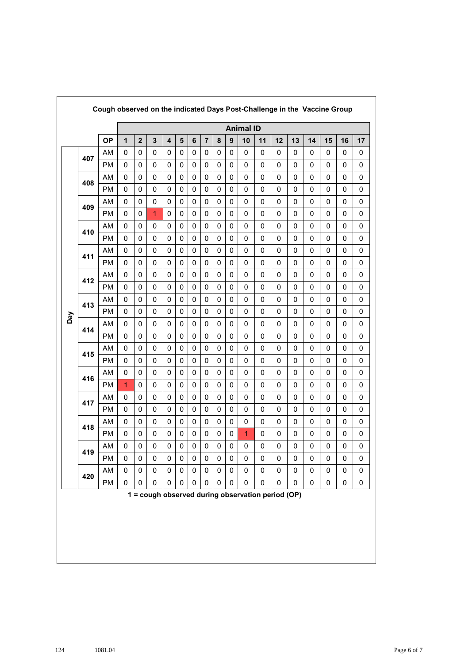|     |     | Cough observed on the indicated Days Post-Challenge in the Vaccine Group |              |                         |              |                         |                         |                |                |             |              |    |                                                   |             |             |             |             |             |             |
|-----|-----|--------------------------------------------------------------------------|--------------|-------------------------|--------------|-------------------------|-------------------------|----------------|----------------|-------------|--------------|----|---------------------------------------------------|-------------|-------------|-------------|-------------|-------------|-------------|
|     |     |                                                                          |              | <b>Animal ID</b>        |              |                         |                         |                |                |             |              |    |                                                   |             |             |             |             |             |             |
|     |     | <b>OP</b>                                                                | $\mathbf{1}$ | $\overline{\mathbf{2}}$ | $\mathbf{3}$ | $\overline{\mathbf{4}}$ | $\overline{\mathbf{5}}$ | $6\phantom{1}$ | $\overline{7}$ | 8           | $\mathbf{9}$ | 10 | 11                                                | 12          | 13          | 14          | 15          | 16          | 17          |
|     | 407 | AM                                                                       | 0            | 0                       | 0            | 0                       | 0                       | 0              | 0              | 0           | 0            | 0  | 0                                                 | 0           | 0           | 0           | 0           | 0           | 0           |
|     |     | <b>PM</b>                                                                | $\mathbf 0$  | $\mathbf 0$             | 0            | $\mathbf 0$             | 0                       | 0              | $\mathbf 0$    | $\mathbf 0$ | 0            | 0  | 0                                                 | 0           | $\mathbf 0$ | $\mathbf 0$ | $\mathbf 0$ | 0           | 0           |
|     | 408 | AM                                                                       | 0            | 0                       | 0            | 0                       | 0                       | 0              | 0              | 0           | 0            | 0  | 0                                                 | 0           | 0           | 0           | $\pmb{0}$   | 0           | 0           |
|     |     | <b>PM</b>                                                                | 0            | $\mathbf 0$             | 0            | 0                       | 0                       | 0              | 0              | 0           | 0            | 0  | 0                                                 | 0           | 0           | 0           | 0           | 0           | 0           |
|     | 409 | AM                                                                       | 0            | $\mathbf 0$             | 0            | 0                       | 0                       | 0              | $\mathbf 0$    | $\mathbf 0$ | 0            | 0  | 0                                                 | 0           | 0           | 0           | 0           | 0           | 0           |
|     |     | <b>PM</b>                                                                | 0            | $\mathbf 0$             | 1            | 0                       | 0                       | 0              | 0              | 0           | 0            | 0  | 0                                                 | $\mathbf 0$ | 0           | 0           | 0           | 0           | 0           |
|     | 410 | AM                                                                       | 0            | 0                       | 0            | 0                       | 0                       | 0              | 0              | 0           | 0            | 0  | 0                                                 | 0           | 0           | 0           | 0           | 0           | 0           |
|     |     | РM                                                                       | 0            | 0                       | 0            | 0                       | 0                       | 0              | 0              | 0           | 0            | 0  | 0                                                 | 0           | 0           | 0           | 0           | 0           | 0           |
|     | 411 | AM                                                                       | 0            | 0                       | 0            | $\mathbf 0$             | 0                       | 0              | 0              | $\mathbf 0$ | 0            | 0  | 0                                                 | 0           | 0           | 0           | 0           | 0           | 0           |
|     |     | <b>PM</b>                                                                | 0            | 0                       | 0            | 0                       | 0                       | 0              | 0              | 0           | 0            | 0  | 0                                                 | 0           | 0           | 0           | $\pmb{0}$   | $\pmb{0}$   | 0           |
|     | 412 | AM                                                                       | 0            | $\mathbf 0$             | 0            | 0                       | $\mathbf 0$             | 0              | $\mathbf 0$    | $\mathbf 0$ | 0            | 0  | 0                                                 | 0           | $\mathbf 0$ | $\pmb{0}$   | $\mathbf 0$ | 0           | $\mathbf 0$ |
|     |     | PM                                                                       | 0            | $\mathbf 0$             | 0            | 0                       | 0                       | 0              | 0              | $\mathbf 0$ | 0            | 0  | 0                                                 | 0           | 0           | 0           | 0           | 0           | 0           |
|     | 413 | AM                                                                       | 0            | 0                       | 0            | 0                       | 0                       | 0              | 0              | 0           | 0            | 0  | 0                                                 | 0           | 0           | 0           | 0           | 0           | 0           |
| Day |     | <b>PM</b>                                                                | $\mathbf 0$  | 0                       | 0            | $\mathbf 0$             | 0                       | 0              | $\mathbf 0$    | $\mathbf 0$ | 0            | 0  | 0                                                 | 0           | $\mathbf 0$ | $\mathbf 0$ | $\mathbf 0$ | 0           | 0           |
|     |     | AM                                                                       | 0            | 0                       | 0            | 0                       | 0                       | 0              | 0              | 0           | 0            | 0  | 0                                                 | 0           | 0           | 0           | 0           | 0           | 0           |
|     | 414 | <b>PM</b>                                                                | 0            | 0                       | 0            | 0                       | 0                       | 0              | 0              | 0           | 0            | 0  | 0                                                 | 0           | 0           | 0           | 0           | 0           | 0           |
|     | 415 | AM                                                                       | 0            | 0                       | 0            | 0                       | $\mathbf 0$             | 0              | $\mathbf 0$    | $\mathbf 0$ | $\mathbf 0$  | 0  | 0                                                 | 0           | 0           | 0           | 0           | 0           | 0           |
|     |     | <b>PM</b>                                                                | 0            | 0                       | 0            | 0                       | 0                       | 0              | 0              | 0           | 0            | 0  | 0                                                 | 0           | 0           | 0           | 0           | 0           | 0           |
|     | 416 | AM                                                                       | 0            | 0                       | 0            | 0                       | 0                       | 0              | 0              | 0           | 0            | 0  | 0                                                 | $\mathbf 0$ | 0           | 0           | 0           | 0           | 0           |
|     |     | РM                                                                       | 1            | 0                       | 0            | 0                       | 0                       | 0              | 0              | 0           | 0            | 0  | 0                                                 | 0           | 0           | 0           | 0           | 0           | 0           |
|     | 417 | AM                                                                       | 0            | 0                       | 0            | $\mathbf 0$             | 0                       | 0              | 0              | $\mathbf 0$ | 0            | 0  | 0                                                 | 0           | 0           | 0           | 0           | 0           | 0           |
|     |     | <b>PM</b>                                                                | 0            | 0                       | 0            | 0                       | 0                       | 0              | 0              | 0           | 0            | 0  | 0                                                 | 0           | 0           | $\pmb{0}$   | $\pmb{0}$   | 0           | 0           |
|     | 418 | AM                                                                       | 0            | $\mathbf 0$             | 0            | 0                       | $\mathbf 0$             | 0              | $\mathbf 0$    | $\mathbf 0$ | 0            | 0  | 0                                                 | 0           | $\mathbf 0$ | 0           | $\mathbf 0$ | 0           | 0           |
|     |     | <b>PM</b>                                                                | 0            | 0                       | 0            | 0                       | 0                       | 0              | 0              | 0           | 0            | 1  | 0                                                 | 0           | 0           | 0           | 0           | 0           | 0           |
|     | 419 | AM                                                                       | 0            | 0                       | 0            | 0                       | 0                       | 0              | 0              | 0           | 0            | 0  | 0                                                 | 0           | 0           | 0           | 0           | 0           | 0           |
|     |     | PM                                                                       | $\pmb{0}$    | 0                       | 0            | 0                       | 0                       | 0              | $\mathbf 0$    | $\pmb{0}$   | $\mathbf 0$  | 0  | 0                                                 | 0           | 0           | $\mathbf 0$ | $\mathbf 0$ | $\mathbf 0$ | 0           |
|     | 420 | AM                                                                       | 0            | 0                       | 0            | 0                       | 0                       | 0              | 0              | 0           | 0            | 0  | 0                                                 | 0           | 0           | 0           | $\pmb{0}$   | 0           | 0           |
|     |     | PM                                                                       | $\pmb{0}$    | 0                       | 0            | 0                       | 0                       | $\pmb{0}$      | $\pmb{0}$      | $\pmb{0}$   | 0            | 0  | $\pmb{0}$                                         | 0           | 0           | $\pmb{0}$   | $\pmb{0}$   | $\pmb{0}$   | $\pmb{0}$   |
|     |     |                                                                          |              |                         |              |                         |                         |                |                |             |              |    | 1 = cough observed during observation period (OP) |             |             |             |             |             |             |
|     |     |                                                                          |              |                         |              |                         |                         |                |                |             |              |    |                                                   |             |             |             |             |             |             |